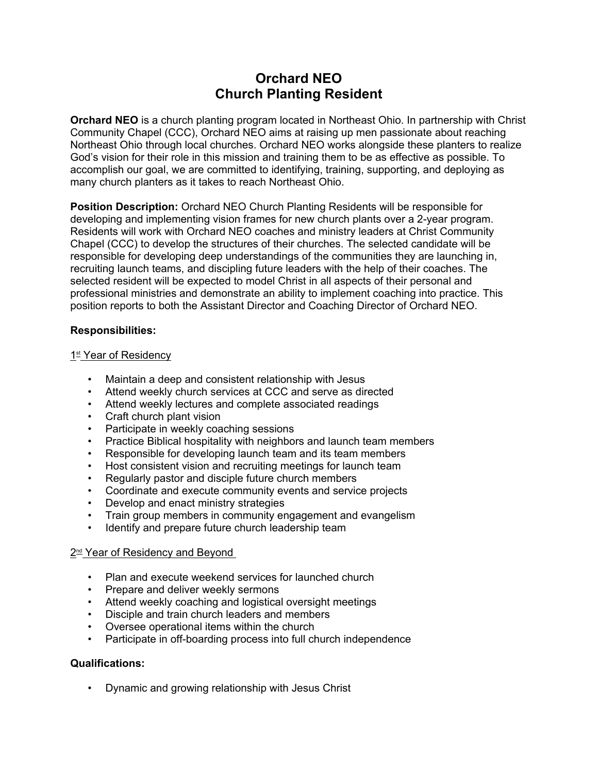# **Orchard NEO Church Planting Resident**

**Orchard NEO** is a church planting program located in Northeast Ohio. In partnership with Christ Community Chapel (CCC), Orchard NEO aims at raising up men passionate about reaching Northeast Ohio through local churches. Orchard NEO works alongside these planters to realize God's vision for their role in this mission and training them to be as effective as possible. To accomplish our goal, we are committed to identifying, training, supporting, and deploying as many church planters as it takes to reach Northeast Ohio.

**Position Description:** Orchard NEO Church Planting Residents will be responsible for developing and implementing vision frames for new church plants over a 2-year program. Residents will work with Orchard NEO coaches and ministry leaders at Christ Community Chapel (CCC) to develop the structures of their churches. The selected candidate will be responsible for developing deep understandings of the communities they are launching in, recruiting launch teams, and discipling future leaders with the help of their coaches. The selected resident will be expected to model Christ in all aspects of their personal and professional ministries and demonstrate an ability to implement coaching into practice. This position reports to both the Assistant Director and Coaching Director of Orchard NEO.

# **Responsibilities:**

## <u>1st Year of Residency</u>

- Maintain a deep and consistent relationship with Jesus
- Attend weekly church services at CCC and serve as directed
- Attend weekly lectures and complete associated readings
- 
- Craft church plant vision<br>• Participate in weekly coaching sessions
- Practice Biblical hospitality with neighbors and launch team members
- Responsible for developing launch team and its team members
- Host consistent vision and recruiting meetings for launch team
- Regularly pastor and disciple future church members
- Coordinate and execute community events and service projects
- 
- Develop and enact ministry strategies Train group members in community engagement and evangelism
- Identify and prepare future church leadership team

## 2<sup>nd</sup> Year of Residency and Beyond

- Plan and execute weekend services for launched church
- Prepare and deliver weekly sermons
- Attend weekly coaching and logistical oversight meetings
- Disciple and train church leaders and members
- Oversee operational items within the church
- Participate in off-boarding process into full church independence

## **Qualifications:**

• Dynamic and growing relationship with Jesus Christ